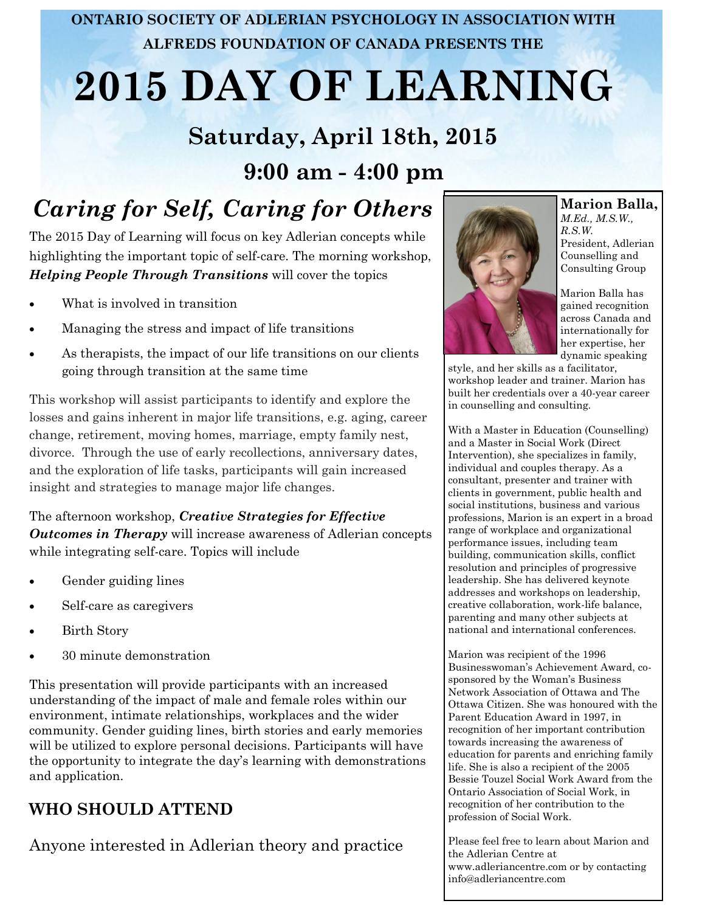**ONTARIO SOCIETY OF ADLERIAN PSYCHOLOGY IN ASSOCIATION WITH ALFREDS FOUNDATION OF CANADA PRESENTS THE**

# **2015 DAY OF LEARNING**

## **Saturday, April 18th, 2015 9:00 am - 4:00 pm**

# *Caring for Self, Caring for Others*

The 2015 Day of Learning will focus on key Adlerian concepts while highlighting the important topic of self-care. The morning workshop, *Helping People Through Transitions* will cover the topics

- What is involved in transition
- Managing the stress and impact of life transitions
- As therapists, the impact of our life transitions on our clients going through transition at the same time

This workshop will assist participants to identify and explore the losses and gains inherent in major life transitions, e.g. aging, career change, retirement, moving homes, marriage, empty family nest, divorce. Through the use of early recollections, anniversary dates, and the exploration of life tasks, participants will gain increased insight and strategies to manage major life changes.

The afternoon workshop, *Creative Strategies for Effective Outcomes in Therapy* will increase awareness of Adlerian concepts while integrating self-care. Topics will include

- Gender guiding lines
- Self-care as caregivers
- Birth Story
- 30 minute demonstration

This presentation will provide participants with an increased understanding of the impact of male and female roles within our environment, intimate relationships, workplaces and the wider community. Gender guiding lines, birth stories and early memories will be utilized to explore personal decisions. Participants will have the opportunity to integrate the day's learning with demonstrations and application.

#### **WHO SHOULD ATTEND**

Anyone interested in Adlerian theory and practice



**Marion Balla,**  *M.Ed., M.S.W., R.S.W.* President, Adlerian Counselling and Consulting Group

Marion Balla has gained recognition across Canada and internationally for her expertise, her dynamic speaking

style, and her skills as a facilitator, workshop leader and trainer. Marion has built her credentials over a 40-year career in counselling and consulting.

With a Master in Education (Counselling) and a Master in Social Work (Direct Intervention), she specializes in family, individual and couples therapy. As a consultant, presenter and trainer with clients in government, public health and social institutions, business and various professions, Marion is an expert in a broad range of workplace and organizational performance issues, including team building, communication skills, conflict resolution and principles of progressive leadership. She has delivered keynote addresses and workshops on leadership, creative collaboration, work-life balance, parenting and many other subjects at national and international conferences.

Marion was recipient of the 1996 Businesswoman's Achievement Award, cosponsored by the Woman's Business Network Association of Ottawa and The Ottawa Citizen. She was honoured with the Parent Education Award in 1997, in recognition of her important contribution towards increasing the awareness of education for parents and enriching family life. She is also a recipient of the 2005 Bessie Touzel Social Work Award from the Ontario Association of Social Work, in recognition of her contribution to the profession of Social Work.

Please feel free to learn about Marion and the Adlerian Centre at www.adleriancentre.com or by contacting info@adleriancentre.com